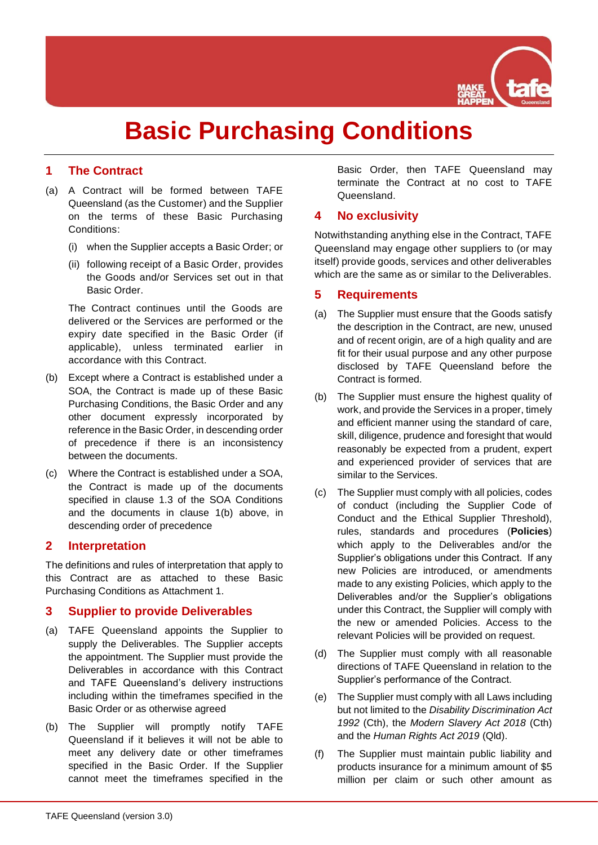

# **Basic Purchasing Conditions**

## **1 The Contract**

- (a) A Contract will be formed between TAFE Queensland (as the Customer) and the Supplier on the terms of these Basic Purchasing Conditions:
	- (i) when the Supplier accepts a Basic Order; or
	- (ii) following receipt of a Basic Order, provides the Goods and/or Services set out in that Basic Order.

The Contract continues until the Goods are delivered or the Services are performed or the expiry date specified in the Basic Order (if applicable), unless terminated earlier in accordance with this Contract.

- <span id="page-0-0"></span>(b) Except where a Contract is established under a SOA, the Contract is made up of these Basic Purchasing Conditions, the Basic Order and any other document expressly incorporated by reference in the Basic Order, in descending order of precedence if there is an inconsistency between the documents.
- (c) Where the Contract is established under a SOA, the Contract is made up of the documents specified in clause 1.3 of the SOA Conditions and the documents in clause [1\(b\)](#page-0-0) above, in descending order of precedence

## <span id="page-0-1"></span>**2 Interpretation**

The definitions and rules of interpretation that apply to this Contract are as attached to these Basic Purchasing Conditions as Attachment 1.

#### **3 Supplier to provide Deliverables**

- (a) TAFE Queensland appoints the Supplier to supply the Deliverables. The Supplier accepts the appointment. The Supplier must provide the Deliverables in accordance with this Contract and TAFE Queensland's delivery instructions including within the timeframes specified in the Basic Order or as otherwise agreed
- (b) The Supplier will promptly notify TAFE Queensland if it believes it will not be able to meet any delivery date or other timeframes specified in the Basic Order. If the Supplier cannot meet the timeframes specified in the

Basic Order, then TAFE Queensland may terminate the Contract at no cost to TAFE Queensland.

## <span id="page-0-2"></span>**4 No exclusivity**

Notwithstanding anything else in the Contract, TAFE Queensland may engage other suppliers to (or may itself) provide goods, services and other deliverables which are the same as or similar to the Deliverables.

## **5 Requirements**

- <span id="page-0-3"></span>(a) The Supplier must ensure that the Goods satisfy the description in the Contract, are new, unused and of recent origin, are of a high quality and are fit for their usual purpose and any other purpose disclosed by TAFE Queensland before the Contract is formed.
- (b) The Supplier must ensure the highest quality of work, and provide the Services in a proper, timely and efficient manner using the standard of care, skill, diligence, prudence and foresight that would reasonably be expected from a prudent, expert and experienced provider of services that are similar to the Services.
- (c) The Supplier must comply with all policies, codes of conduct (including the Supplier Code of Conduct and the Ethical Supplier Threshold), rules, standards and procedures (**Policies**) which apply to the Deliverables and/or the Supplier's obligations under this Contract. If any new Policies are introduced, or amendments made to any existing Policies, which apply to the Deliverables and/or the Supplier's obligations under this Contract, the Supplier will comply with the new or amended Policies. Access to the relevant Policies will be provided on request.
- (d) The Supplier must comply with all reasonable directions of TAFE Queensland in relation to the Supplier's performance of the Contract.
- (e) The Supplier must comply with all Laws including but not limited to the *Disability Discrimination Act 1992* (Cth), the *Modern Slavery Act 2018* (Cth) and the *Human Rights Act 2019* (Qld).
- <span id="page-0-4"></span>(f) The Supplier must maintain public liability and products insurance for a minimum amount of \$5 million per claim or such other amount as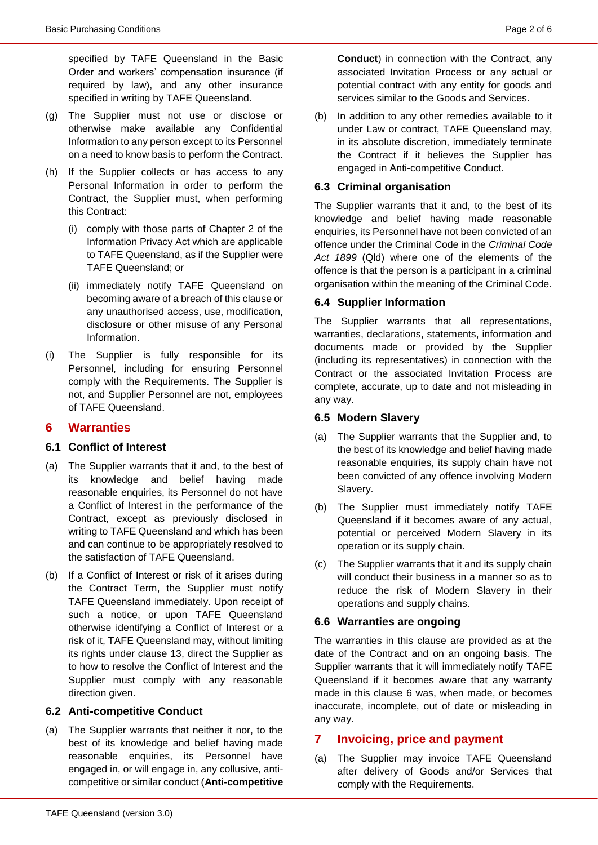specified by TAFE Queensland in the Basic Order and workers' compensation insurance (if required by law), and any other insurance specified in writing by TAFE Queensland.

- <span id="page-1-1"></span>(g) The Supplier must not use or disclose or otherwise make available any Confidential Information to any person except to its Personnel on a need to know basis to perform the Contract.
- <span id="page-1-2"></span>(h) If the Supplier collects or has access to any Personal Information in order to perform the Contract, the Supplier must, when performing this Contract:
	- (i) comply with those parts of Chapter 2 of the Information Privacy Act which are applicable to TAFE Queensland, as if the Supplier were TAFE Queensland; or
	- (ii) immediately notify TAFE Queensland on becoming aware of a breach of this clause or any unauthorised access, use, modification, disclosure or other misuse of any Personal Information.
- <span id="page-1-3"></span>(i) The Supplier is fully responsible for its Personnel, including for ensuring Personnel comply with the Requirements. The Supplier is not, and Supplier Personnel are not, employees of TAFE Queensland.

#### <span id="page-1-0"></span>**6 Warranties**

#### **6.1 Conflict of Interest**

- (a) The Supplier warrants that it and, to the best of its knowledge and belief having made reasonable enquiries, its Personnel do not have a Conflict of Interest in the performance of the Contract, except as previously disclosed in writing to TAFE Queensland and which has been and can continue to be appropriately resolved to the satisfaction of TAFE Queensland.
- (b) If a Conflict of Interest or risk of it arises during the Contract Term, the Supplier must notify TAFE Queensland immediately. Upon receipt of such a notice, or upon TAFE Queensland otherwise identifying a Conflict of Interest or a risk of it, TAFE Queensland may, without limiting its rights under clause [13,](#page-3-0) direct the Supplier as to how to resolve the Conflict of Interest and the Supplier must comply with any reasonable direction given.

#### **6.2 Anti-competitive Conduct**

(a) The Supplier warrants that neither it nor, to the best of its knowledge and belief having made reasonable enquiries, its Personnel have engaged in, or will engage in, any collusive, anticompetitive or similar conduct (**Anti-competitive**  **Conduct**) in connection with the Contract, any associated Invitation Process or any actual or potential contract with any entity for goods and services similar to the Goods and Services.

(b) In addition to any other remedies available to it under Law or contract, TAFE Queensland may, in its absolute discretion, immediately terminate the Contract if it believes the Supplier has engaged in Anti-competitive Conduct.

#### **6.3 Criminal organisation**

The Supplier warrants that it and, to the best of its knowledge and belief having made reasonable enquiries, its Personnel have not been convicted of an offence under the Criminal Code in the *Criminal Code Act 1899* (Qld) where one of the elements of the offence is that the person is a participant in a criminal organisation within the meaning of the Criminal Code.

#### **6.4 Supplier Information**

The Supplier warrants that all representations, warranties, declarations, statements, information and documents made or provided by the Supplier (including its representatives) in connection with the Contract or the associated Invitation Process are complete, accurate, up to date and not misleading in any way.

#### **6.5 Modern Slavery**

- (a) The Supplier warrants that the Supplier and, to the best of its knowledge and belief having made reasonable enquiries, its supply chain have not been convicted of any offence involving Modern Slavery.
- (b) The Supplier must immediately notify TAFE Queensland if it becomes aware of any actual, potential or perceived Modern Slavery in its operation or its supply chain.
- (c) The Supplier warrants that it and its supply chain will conduct their business in a manner so as to reduce the risk of Modern Slavery in their operations and supply chains.

#### **6.6 Warranties are ongoing**

The warranties in this clause are provided as at the date of the Contract and on an ongoing basis. The Supplier warrants that it will immediately notify TAFE Queensland if it becomes aware that any warranty made in this clause [6](#page-1-0) was, when made, or becomes inaccurate, incomplete, out of date or misleading in any way.

#### **7 Invoicing, price and payment**

(a) The Supplier may invoice TAFE Queensland after delivery of Goods and/or Services that comply with the Requirements.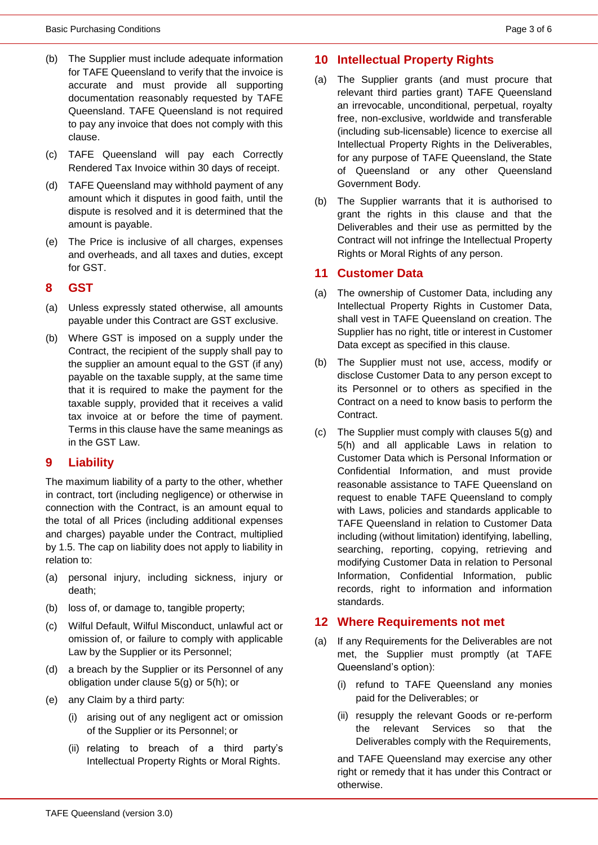- <span id="page-2-0"></span>(b) The Supplier must include adequate information for TAFE Queensland to verify that the invoice is accurate and must provide all supporting documentation reasonably requested by TAFE Queensland. TAFE Queensland is not required to pay any invoice that does not comply with this clause.
- (c) TAFE Queensland will pay each Correctly Rendered Tax Invoice within 30 days of receipt.
- (d) TAFE Queensland may withhold payment of any amount which it disputes in good faith, until the dispute is resolved and it is determined that the amount is payable.
- <span id="page-2-1"></span>(e) The Price is inclusive of all charges, expenses and overheads, and all taxes and duties, except for GST.

#### <span id="page-2-2"></span>**8 GST**

- (a) Unless expressly stated otherwise, all amounts payable under this Contract are GST exclusive.
- (b) Where GST is imposed on a supply under the Contract, the recipient of the supply shall pay to the supplier an amount equal to the GST (if any) payable on the taxable supply, at the same time that it is required to make the payment for the taxable supply, provided that it receives a valid tax invoice at or before the time of payment. Terms in this clause have the same meanings as in the GST Law.

#### <span id="page-2-3"></span>**9 Liability**

The maximum liability of a party to the other, whether in contract, tort (including negligence) or otherwise in connection with the Contract, is an amount equal to the total of all Prices (including additional expenses and charges) payable under the Contract, multiplied by 1.5. The cap on liability does not apply to liability in relation to:

- (a) personal injury, including sickness, injury or death;
- (b) loss of, or damage to, tangible property;
- (c) Wilful Default, Wilful Misconduct, unlawful act or omission of, or failure to comply with applicable Law by the Supplier or its Personnel;
- (d) a breach by the Supplier or its Personnel of any obligation under clause [5\(g\)](#page-1-1) or [5\(h\);](#page-1-2) or
- (e) any Claim by a third party:
	- (i) arising out of any negligent act or omission of the Supplier or its Personnel; or
	- (ii) relating to breach of a third party's Intellectual Property Rights or Moral Rights.

#### <span id="page-2-4"></span>**10 Intellectual Property Rights**

- (a) The Supplier grants (and must procure that relevant third parties grant) TAFE Queensland an irrevocable, unconditional, perpetual, royalty free, non-exclusive, worldwide and transferable (including sub-licensable) licence to exercise all Intellectual Property Rights in the Deliverables, for any purpose of TAFE Queensland, the State of Queensland or any other Queensland Government Body.
- (b) The Supplier warrants that it is authorised to grant the rights in this clause and that the Deliverables and their use as permitted by the Contract will not infringe the Intellectual Property Rights or Moral Rights of any person.

#### <span id="page-2-5"></span>**11 Customer Data**

- (a) The ownership of Customer Data, including any Intellectual Property Rights in Customer Data, shall vest in TAFE Queensland on creation. The Supplier has no right, title or interest in Customer Data except as specified in this clause.
- (b) The Supplier must not use, access, modify or disclose Customer Data to any person except to its Personnel or to others as specified in the Contract on a need to know basis to perform the Contract.
- (c) The Supplier must comply with clauses [5\(g\)](#page-1-1) and [5\(h\)](#page-1-2) and all applicable Laws in relation to Customer Data which is Personal Information or Confidential Information, and must provide reasonable assistance to TAFE Queensland on request to enable TAFE Queensland to comply with Laws, policies and standards applicable to TAFE Queensland in relation to Customer Data including (without limitation) identifying, labelling, searching, reporting, copying, retrieving and modifying Customer Data in relation to Personal Information, Confidential Information, public records, right to information and information standards.

#### **12 Where Requirements not met**

- (a) If any Requirements for the Deliverables are not met, the Supplier must promptly (at TAFE Queensland's option):
	- (i) refund to TAFE Queensland any monies paid for the Deliverables; or
	- (ii) resupply the relevant Goods or re-perform the relevant Services so that the Deliverables comply with the Requirements,

and TAFE Queensland may exercise any other right or remedy that it has under this Contract or otherwise.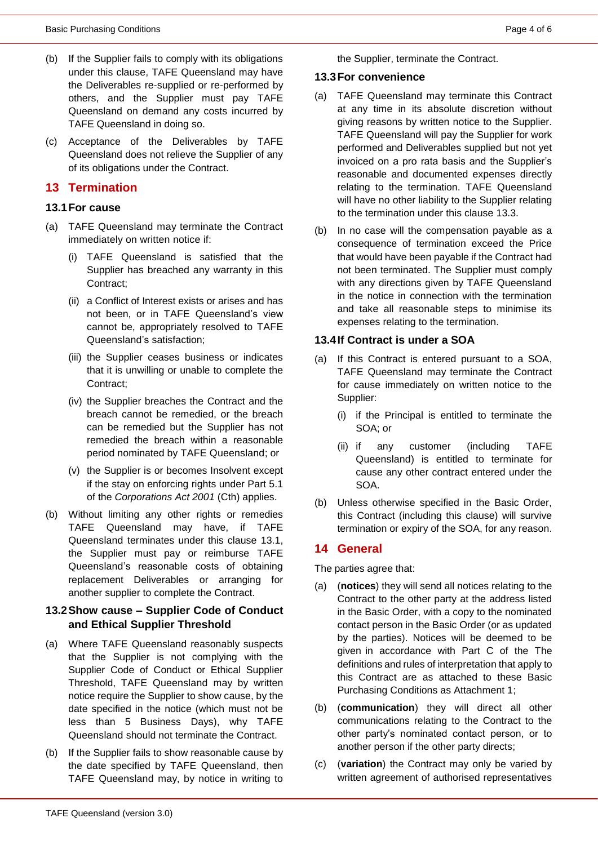- (b) If the Supplier fails to comply with its obligations under this clause, TAFE Queensland may have the Deliverables re-supplied or re-performed by others, and the Supplier must pay TAFE Queensland on demand any costs incurred by TAFE Queensland in doing so.
- (c) Acceptance of the Deliverables by TAFE Queensland does not relieve the Supplier of any of its obligations under the Contract.

## <span id="page-3-0"></span>**13 Termination**

#### <span id="page-3-1"></span>**13.1For cause**

- (a) TAFE Queensland may terminate the Contract immediately on written notice if:
	- (i) TAFE Queensland is satisfied that the Supplier has breached any warranty in this Contract;
	- (ii) a Conflict of Interest exists or arises and has not been, or in TAFE Queensland's view cannot be, appropriately resolved to TAFE Queensland's satisfaction;
	- (iii) the Supplier ceases business or indicates that it is unwilling or unable to complete the Contract;
	- (iv) the Supplier breaches the Contract and the breach cannot be remedied, or the breach can be remedied but the Supplier has not remedied the breach within a reasonable period nominated by TAFE Queensland; or
	- (v) the Supplier is or becomes Insolvent except if the stay on enforcing rights under Part 5.1 of the *Corporations Act 2001* (Cth) applies.
- (b) Without limiting any other rights or remedies TAFE Queensland may have, if TAFE Queensland terminates under this clause [13.1,](#page-3-1) the Supplier must pay or reimburse TAFE Queensland's reasonable costs of obtaining replacement Deliverables or arranging for another supplier to complete the Contract.

#### **13.2Show cause – Supplier Code of Conduct and Ethical Supplier Threshold**

- (a) Where TAFE Queensland reasonably suspects that the Supplier is not complying with the Supplier Code of Conduct or Ethical Supplier Threshold, TAFE Queensland may by written notice require the Supplier to show cause, by the date specified in the notice (which must not be less than 5 Business Days), why TAFE Queensland should not terminate the Contract.
- (b) If the Supplier fails to show reasonable cause by the date specified by TAFE Queensland, then TAFE Queensland may, by notice in writing to

the Supplier, terminate the Contract.

#### <span id="page-3-2"></span>**13.3For convenience**

- (a) TAFE Queensland may terminate this Contract at any time in its absolute discretion without giving reasons by written notice to the Supplier. TAFE Queensland will pay the Supplier for work performed and Deliverables supplied but not yet invoiced on a pro rata basis and the Supplier's reasonable and documented expenses directly relating to the termination. TAFE Queensland will have no other liability to the Supplier relating to the termination under this clause [13.3.](#page-3-2)
- (b) In no case will the compensation payable as a consequence of termination exceed the Price that would have been payable if the Contract had not been terminated. The Supplier must comply with any directions given by TAFE Queensland in the notice in connection with the termination and take all reasonable steps to minimise its expenses relating to the termination.

## **13.4If Contract is under a SOA**

- (a) If this Contract is entered pursuant to a SOA, TAFE Queensland may terminate the Contract for cause immediately on written notice to the Supplier:
	- (i) if the Principal is entitled to terminate the SOA; or
	- (ii) if any customer (including TAFE Queensland) is entitled to terminate for cause any other contract entered under the SOA.
- (b) Unless otherwise specified in the Basic Order, this Contract (including this clause) will survive termination or expiry of the SOA, for any reason.

## <span id="page-3-3"></span>**14 General**

The parties agree that:

- (a) (**notices**) they will send all notices relating to the Contract to the other party at the address listed in the Basic Order, with a copy to the nominated contact person in the Basic Order (or as updated by the parties). Notices will be deemed to be given in accordance with Part C of the The definitions and rules of interpretation that apply to this Contract are as attached to these Basic Purchasing Conditions as Attachment 1;
- (b) (**communication**) they will direct all other communications relating to the Contract to the other party's nominated contact person, or to another person if the other party directs;
- (c) (**variation**) the Contract may only be varied by written agreement of authorised representatives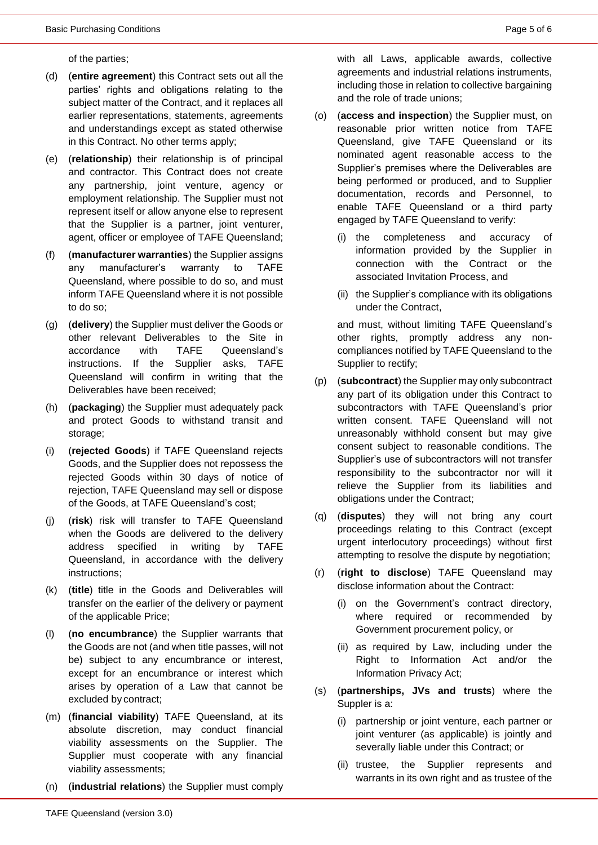of the parties;

- (d) (**entire agreement**) this Contract sets out all the parties' rights and obligations relating to the subject matter of the Contract, and it replaces all earlier representations, statements, agreements and understandings except as stated otherwise in this Contract. No other terms apply;
- (e) (**relationship**) their relationship is of principal and contractor. This Contract does not create any partnership, joint venture, agency or employment relationship. The Supplier must not represent itself or allow anyone else to represent that the Supplier is a partner, joint venturer, agent, officer or employee of TAFE Queensland;
- (f) (**manufacturer warranties**) the Supplier assigns any manufacturer's warranty to TAFE Queensland, where possible to do so, and must inform TAFE Queensland where it is not possible to do so;
- (g) (**delivery**) the Supplier must deliver the Goods or other relevant Deliverables to the Site in accordance with TAFE Queensland's instructions. If the Supplier asks, TAFE Queensland will confirm in writing that the Deliverables have been received;
- (h) (**packaging**) the Supplier must adequately pack and protect Goods to withstand transit and storage;
- (i) (**rejected Goods**) if TAFE Queensland rejects Goods, and the Supplier does not repossess the rejected Goods within 30 days of notice of rejection, TAFE Queensland may sell or dispose of the Goods, at TAFE Queensland's cost;
- (j) (**risk**) risk will transfer to TAFE Queensland when the Goods are delivered to the delivery address specified in writing by TAFE Queensland, in accordance with the delivery instructions;
- (k) (**title**) title in the Goods and Deliverables will transfer on the earlier of the delivery or payment of the applicable Price;
- (l) (**no encumbrance**) the Supplier warrants that the Goods are not (and when title passes, will not be) subject to any encumbrance or interest, except for an encumbrance or interest which arises by operation of a Law that cannot be excluded by contract;
- (m) (**financial viability**) TAFE Queensland, at its absolute discretion, may conduct financial viability assessments on the Supplier. The Supplier must cooperate with any financial viability assessments;
- (n) (**industrial relations**) the Supplier must comply

with all Laws, applicable awards, collective agreements and industrial relations instruments, including those in relation to collective bargaining and the role of trade unions;

- (o) (**access and inspection**) the Supplier must, on reasonable prior written notice from TAFE Queensland, give TAFE Queensland or its nominated agent reasonable access to the Supplier's premises where the Deliverables are being performed or produced, and to Supplier documentation, records and Personnel, to enable TAFE Queensland or a third party engaged by TAFE Queensland to verify:
	- (i) the completeness and accuracy of information provided by the Supplier in connection with the Contract or the associated Invitation Process, and
	- (ii) the Supplier's compliance with its obligations under the Contract,

and must, without limiting TAFE Queensland's other rights, promptly address any noncompliances notified by TAFE Queensland to the Supplier to rectify;

- (p) (**subcontract**) the Supplier may only subcontract any part of its obligation under this Contract to subcontractors with TAFE Queensland's prior written consent. TAFE Queensland will not unreasonably withhold consent but may give consent subject to reasonable conditions. The Supplier's use of subcontractors will not transfer responsibility to the subcontractor nor will it relieve the Supplier from its liabilities and obligations under the Contract;
- (q) (**disputes**) they will not bring any court proceedings relating to this Contract (except urgent interlocutory proceedings) without first attempting to resolve the dispute by negotiation;
- (r) (**right to disclose**) TAFE Queensland may disclose information about the Contract:
	- (i) on the Government's contract directory, where required or recommended by Government procurement policy, or
	- (ii) as required by Law, including under the Right to Information Act and/or the Information Privacy Act;
- (s) (**partnerships, JVs and trusts**) where the Suppler is a:
	- (i) partnership or joint venture, each partner or joint venturer (as applicable) is jointly and severally liable under this Contract; or
	- (ii) trustee, the Supplier represents and warrants in its own right and as trustee of the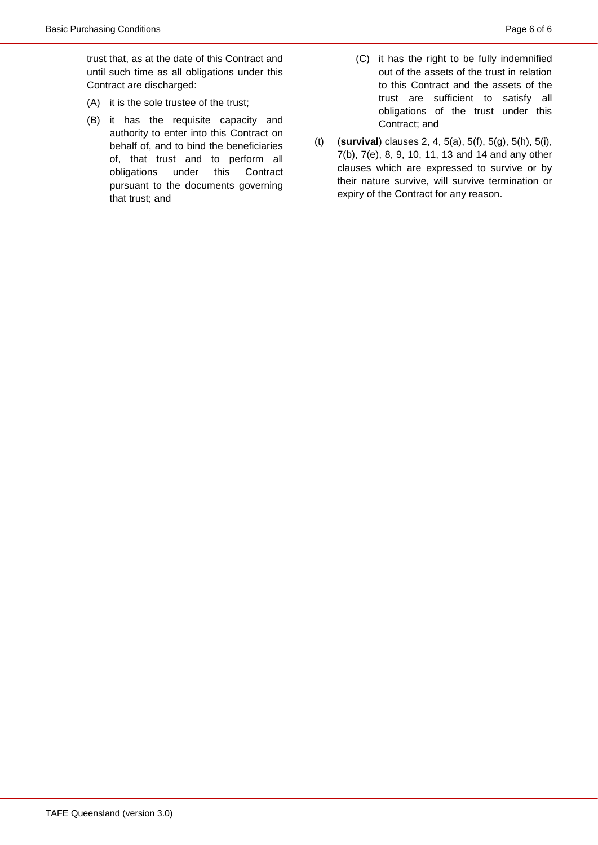trust that, as at the date of this Contract and until such time as all obligations under this Contract are discharged:

- (A) it is the sole trustee of the trust;
- (B) it has the requisite capacity and authority to enter into this Contract on behalf of, and to bind the beneficiaries of, that trust and to perform all obligations under this Contract pursuant to the documents governing that trust; and
- (C) it has the right to be fully indemnified out of the assets of the trust in relation to this Contract and the assets of the trust are sufficient to satisfy all obligations of the trust under this Contract; and
- (t) (**survival**) clauses [2,](#page-0-1) [4,](#page-0-2) [5\(a\),](#page-0-3) [5\(f\),](#page-0-4) [5\(g\),](#page-1-1) [5\(h\),](#page-1-2) [5\(i\),](#page-1-3) [7\(b\),](#page-2-0) [7\(e\),](#page-2-1) [8,](#page-2-2) [9,](#page-2-3) [10,](#page-2-4) [11,](#page-2-5) [13](#page-3-0) and [14](#page-3-3) and any other clauses which are expressed to survive or by their nature survive, will survive termination or expiry of the Contract for any reason.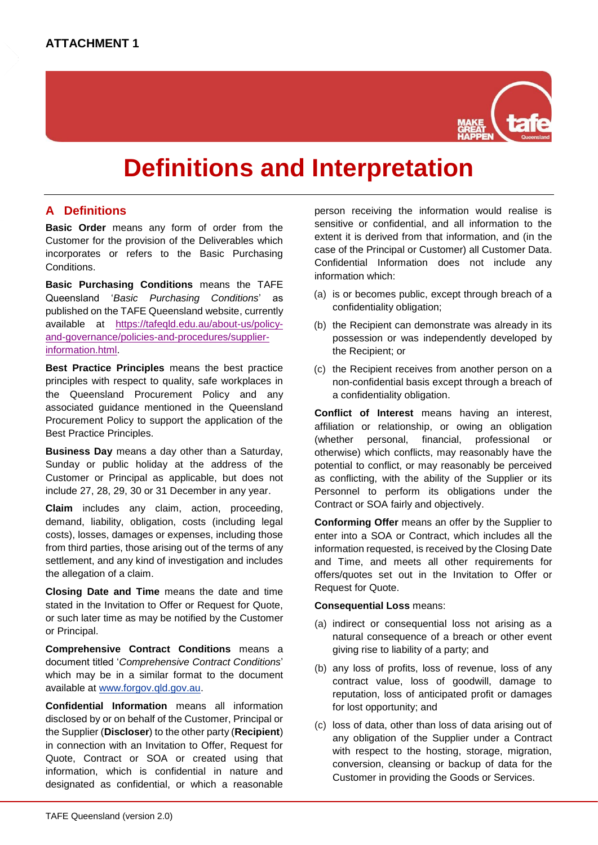

## **Definitions and Interpretation**

## **A Definitions**

**Basic Order** means any form of order from the Customer for the provision of the Deliverables which incorporates or refers to the Basic Purchasing Conditions.

**Basic Purchasing Conditions** means the TAFE Queensland '*Basic Purchasing Conditions*' as published on the TAFE Queensland website, currently available at [https://tafeqld.edu.au/about-us/policy](https://tafeqld.edu.au/about-us/policy-and-governance/policies-and-procedures/supplier-information.html)[and-governance/policies-and-procedures/supplier](https://tafeqld.edu.au/about-us/policy-and-governance/policies-and-procedures/supplier-information.html)[information.html.](https://tafeqld.edu.au/about-us/policy-and-governance/policies-and-procedures/supplier-information.html)

**Best Practice Principles** means the best practice principles with respect to quality, safe workplaces in the Queensland Procurement Policy and any associated guidance mentioned in the Queensland Procurement Policy to support the application of the Best Practice Principles.

**Business Day** means a day other than a Saturday, Sunday or public holiday at the address of the Customer or Principal as applicable, but does not include 27, 28, 29, 30 or 31 December in any year.

**Claim** includes any claim, action, proceeding, demand, liability, obligation, costs (including legal costs), losses, damages or expenses, including those from third parties, those arising out of the terms of any settlement, and any kind of investigation and includes the allegation of a claim.

**Closing Date and Time** means the date and time stated in the Invitation to Offer or Request for Quote, or such later time as may be notified by the Customer or Principal.

**Comprehensive Contract Conditions** means a document titled '*Comprehensive Contract Conditions*' which may be in a similar format to the document available at [www.forgov.qld.gov.au.](http://www.forgov.qld.gov.au/)

**Confidential Information** means all information disclosed by or on behalf of the Customer, Principal or the Supplier (**Discloser**) to the other party (**Recipient**) in connection with an Invitation to Offer, Request for Quote, Contract or SOA or created using that information, which is confidential in nature and designated as confidential, or which a reasonable

person receiving the information would realise is sensitive or confidential, and all information to the extent it is derived from that information, and (in the case of the Principal or Customer) all Customer Data. Confidential Information does not include any information which:

- (a) is or becomes public, except through breach of a confidentiality obligation;
- (b) the Recipient can demonstrate was already in its possession or was independently developed by the Recipient; or
- (c) the Recipient receives from another person on a non-confidential basis except through a breach of a confidentiality obligation.

**Conflict of Interest** means having an interest, affiliation or relationship, or owing an obligation (whether personal, financial, professional or otherwise) which conflicts, may reasonably have the potential to conflict, or may reasonably be perceived as conflicting, with the ability of the Supplier or its Personnel to perform its obligations under the Contract or SOA fairly and objectively.

**Conforming Offer** means an offer by the Supplier to enter into a SOA or Contract, which includes all the information requested, is received by the Closing Date and Time, and meets all other requirements for offers/quotes set out in the Invitation to Offer or Request for Quote.

#### **Consequential Loss** means:

- (a) indirect or consequential loss not arising as a natural consequence of a breach or other event giving rise to liability of a party; and
- (b) any loss of profits, loss of revenue, loss of any contract value, loss of goodwill, damage to reputation, loss of anticipated profit or damages for lost opportunity; and
- (c) loss of data, other than loss of data arising out of any obligation of the Supplier under a Contract with respect to the hosting, storage, migration, conversion, cleansing or backup of data for the Customer in providing the Goods or Services.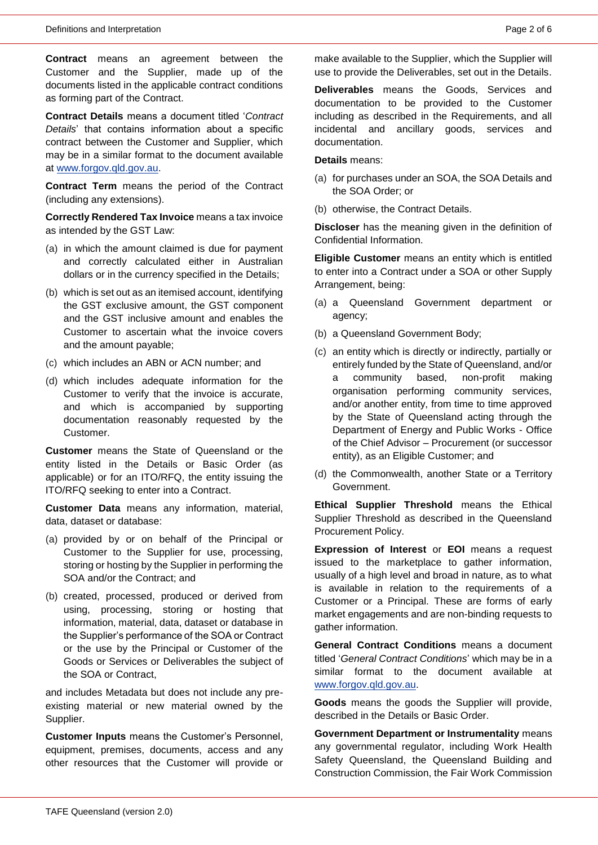**Contract** means an agreement between the Customer and the Supplier, made up of the documents listed in the applicable contract conditions as forming part of the Contract.

**Contract Details** means a document titled '*Contract Details*' that contains information about a specific contract between the Customer and Supplier, which may be in a similar format to the document available at [www.forgov.qld.gov.au.](http://www.forgov.qld.gov.au/)

**Contract Term** means the period of the Contract (including any extensions).

**Correctly Rendered Tax Invoice** means a tax invoice as intended by the GST Law:

- (a) in which the amount claimed is due for payment and correctly calculated either in Australian dollars or in the currency specified in the Details;
- (b) which is set out as an itemised account, identifying the GST exclusive amount, the GST component and the GST inclusive amount and enables the Customer to ascertain what the invoice covers and the amount payable;
- (c) which includes an ABN or ACN number; and
- (d) which includes adequate information for the Customer to verify that the invoice is accurate, and which is accompanied by supporting documentation reasonably requested by the Customer.

**Customer** means the State of Queensland or the entity listed in the Details or Basic Order (as applicable) or for an ITO/RFQ, the entity issuing the ITO/RFQ seeking to enter into a Contract.

**Customer Data** means any information, material, data, dataset or database:

- (a) provided by or on behalf of the Principal or Customer to the Supplier for use, processing, storing or hosting by the Supplier in performing the SOA and/or the Contract; and
- (b) created, processed, produced or derived from using, processing, storing or hosting that information, material, data, dataset or database in the Supplier's performance of the SOA or Contract or the use by the Principal or Customer of the Goods or Services or Deliverables the subject of the SOA or Contract,

and includes Metadata but does not include any preexisting material or new material owned by the Supplier.

**Customer Inputs** means the Customer's Personnel, equipment, premises, documents, access and any other resources that the Customer will provide or make available to the Supplier, which the Supplier will use to provide the Deliverables, set out in the Details.

**Deliverables** means the Goods, Services and documentation to be provided to the Customer including as described in the Requirements, and all incidental and ancillary goods, services and documentation.

**Details** means:

- (a) for purchases under an SOA, the SOA Details and the SOA Order; or
- (b) otherwise, the Contract Details.

**Discloser** has the meaning given in the definition of Confidential Information.

**Eligible Customer** means an entity which is entitled to enter into a Contract under a SOA or other Supply Arrangement, being:

- (a) a Queensland Government department or agency;
- (b) a Queensland Government Body;
- (c) an entity which is directly or indirectly, partially or entirely funded by the State of Queensland, and/or a community based, non-profit making organisation performing community services, and/or another entity, from time to time approved by the State of Queensland acting through the Department of Energy and Public Works - Office of the Chief Advisor – Procurement (or successor entity), as an Eligible Customer; and
- (d) the Commonwealth, another State or a Territory Government.

**Ethical Supplier Threshold** means the Ethical Supplier Threshold as described in the Queensland Procurement Policy.

**Expression of Interest** or **EOI** means a request issued to the marketplace to gather information, usually of a high level and broad in nature, as to what is available in relation to the requirements of a Customer or a Principal. These are forms of early market engagements and are non-binding requests to gather information.

**General Contract Conditions** means a document titled '*General Contract Conditions*' which may be in a similar format to the document available at [www.forgov.qld.gov.au.](http://www.forgov.qld.gov.au/)

**Goods** means the goods the Supplier will provide, described in the Details or Basic Order.

**Government Department or Instrumentality** means any governmental regulator, including Work Health Safety Queensland, the Queensland Building and Construction Commission, the Fair Work Commission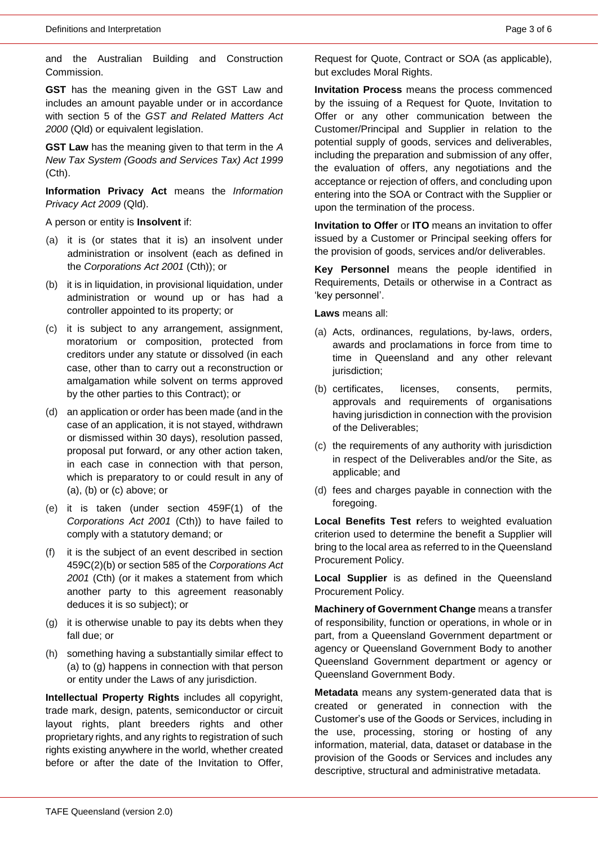and the Australian Building and Construction Commission.

**GST** has the meaning given in the GST Law and includes an amount payable under or in accordance with section 5 of the *GST and Related Matters Act 2000* (Qld) or equivalent legislation.

**GST Law** has the meaning given to that term in the *A New Tax System (Goods and Services Tax) Act 1999*  (Cth).

**Information Privacy Act** means the *Information Privacy Act 2009* (Qld).

A person or entity is **Insolvent** if:

- <span id="page-8-0"></span>(a) it is (or states that it is) an insolvent under administration or insolvent (each as defined in the *Corporations Act 2001* (Cth)); or
- <span id="page-8-1"></span>(b) it is in liquidation, in provisional liquidation, under administration or wound up or has had a controller appointed to its property; or
- <span id="page-8-2"></span>(c) it is subject to any arrangement, assignment, moratorium or composition, protected from creditors under any statute or dissolved (in each case, other than to carry out a reconstruction or amalgamation while solvent on terms approved by the other parties to this Contract); or
- (d) an application or order has been made (and in the case of an application, it is not stayed, withdrawn or dismissed within 30 days), resolution passed, proposal put forward, or any other action taken, in each case in connection with that person, which is preparatory to or could result in any of [\(a\),](#page-8-0) [\(b\)](#page-8-1) or [\(c\)](#page-8-2) above; or
- (e) it is taken (under section 459F(1) of the *Corporations Act 2001* (Cth)) to have failed to comply with a statutory demand; or
- (f) it is the subject of an event described in section 459C(2)(b) or section 585 of the *Corporations Act 2001* (Cth) (or it makes a statement from which another party to this agreement reasonably deduces it is so subject); or
- <span id="page-8-3"></span>(g) it is otherwise unable to pay its debts when they fall due; or
- (h) something having a substantially similar effect to [\(a\)](#page-8-0) to [\(g\)](#page-8-3) happens in connection with that person or entity under the Laws of any jurisdiction.

**Intellectual Property Rights** includes all copyright, trade mark, design, patents, semiconductor or circuit layout rights, plant breeders rights and other proprietary rights, and any rights to registration of such rights existing anywhere in the world, whether created before or after the date of the Invitation to Offer,

Request for Quote, Contract or SOA (as applicable), but excludes Moral Rights.

**Invitation Process** means the process commenced by the issuing of a Request for Quote, Invitation to Offer or any other communication between the Customer/Principal and Supplier in relation to the potential supply of goods, services and deliverables, including the preparation and submission of any offer, the evaluation of offers, any negotiations and the acceptance or rejection of offers, and concluding upon entering into the SOA or Contract with the Supplier or upon the termination of the process.

**Invitation to Offer** or **ITO** means an invitation to offer issued by a Customer or Principal seeking offers for the provision of goods, services and/or deliverables.

**Key Personnel** means the people identified in Requirements, Details or otherwise in a Contract as 'key personnel'.

**Laws** means all:

- (a) Acts, ordinances, regulations, by-laws, orders, awards and proclamations in force from time to time in Queensland and any other relevant jurisdiction:
- (b) certificates, licenses, consents, permits, approvals and requirements of organisations having jurisdiction in connection with the provision of the Deliverables;
- (c) the requirements of any authority with jurisdiction in respect of the Deliverables and/or the Site, as applicable; and
- (d) fees and charges payable in connection with the foregoing.

**Local Benefits Test r**efers to weighted evaluation criterion used to determine the benefit a Supplier will bring to the local area as referred to in the Queensland Procurement Policy.

**Local Supplier** is as defined in the Queensland Procurement Policy.

**Machinery of Government Change** means a transfer of responsibility, function or operations, in whole or in part, from a Queensland Government department or agency or Queensland Government Body to another Queensland Government department or agency or Queensland Government Body.

**Metadata** means any system-generated data that is created or generated in connection with the Customer's use of the Goods or Services, including in the use, processing, storing or hosting of any information, material, data, dataset or database in the provision of the Goods or Services and includes any descriptive, structural and administrative metadata.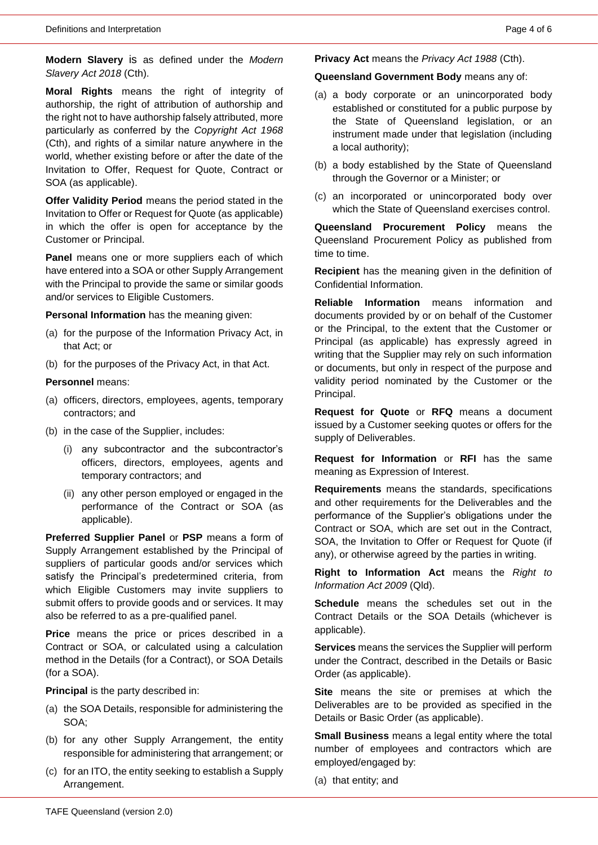**Modern Slavery** is as defined under the *Modern Slavery Act 2018* (Cth).

**Moral Rights** means the right of integrity of authorship, the right of attribution of authorship and the right not to have authorship falsely attributed, more particularly as conferred by the *Copyright Act 1968*  (Cth), and rights of a similar nature anywhere in the world, whether existing before or after the date of the Invitation to Offer, Request for Quote, Contract or SOA (as applicable).

**Offer Validity Period** means the period stated in the Invitation to Offer or Request for Quote (as applicable) in which the offer is open for acceptance by the Customer or Principal.

**Panel** means one or more suppliers each of which have entered into a SOA or other Supply Arrangement with the Principal to provide the same or similar goods and/or services to Eligible Customers.

**Personal Information** has the meaning given:

- (a) for the purpose of the Information Privacy Act, in that Act; or
- (b) for the purposes of the Privacy Act, in that Act.

**Personnel** means:

- (a) officers, directors, employees, agents, temporary contractors; and
- (b) in the case of the Supplier, includes:
	- (i) any subcontractor and the subcontractor's officers, directors, employees, agents and temporary contractors; and
	- (ii) any other person employed or engaged in the performance of the Contract or SOA (as applicable).

**Preferred Supplier Panel** or **PSP** means a form of Supply Arrangement established by the Principal of suppliers of particular goods and/or services which satisfy the Principal's predetermined criteria, from which Eligible Customers may invite suppliers to submit offers to provide goods and or services. It may also be referred to as a pre-qualified panel.

**Price** means the price or prices described in a Contract or SOA, or calculated using a calculation method in the Details (for a Contract), or SOA Details (for a SOA).

**Principal** is the party described in:

- (a) the SOA Details, responsible for administering the SOA;
- (b) for any other Supply Arrangement, the entity responsible for administering that arrangement; or
- (c) for an ITO, the entity seeking to establish a Supply Arrangement.

**Privacy Act** means the *Privacy Act 1988* (Cth).

**Queensland Government Body** means any of:

- (a) a body corporate or an unincorporated body established or constituted for a public purpose by the State of Queensland legislation, or an instrument made under that legislation (including a local authority);
- (b) a body established by the State of Queensland through the Governor or a Minister; or
- (c) an incorporated or unincorporated body over which the State of Queensland exercises control.

**Queensland Procurement Policy** means the Queensland Procurement Policy as published from time to time.

**Recipient** has the meaning given in the definition of Confidential Information.

**Reliable Information** means information and documents provided by or on behalf of the Customer or the Principal, to the extent that the Customer or Principal (as applicable) has expressly agreed in writing that the Supplier may rely on such information or documents, but only in respect of the purpose and validity period nominated by the Customer or the Principal.

**Request for Quote** or **RFQ** means a document issued by a Customer seeking quotes or offers for the supply of Deliverables.

**Request for Information** or **RFI** has the same meaning as Expression of Interest.

**Requirements** means the standards, specifications and other requirements for the Deliverables and the performance of the Supplier's obligations under the Contract or SOA, which are set out in the Contract, SOA, the Invitation to Offer or Request for Quote (if any), or otherwise agreed by the parties in writing.

**Right to Information Act** means the *Right to Information Act 2009* (Qld).

**Schedule** means the schedules set out in the Contract Details or the SOA Details (whichever is applicable).

**Services** means the services the Supplier will perform under the Contract, described in the Details or Basic Order (as applicable).

**Site** means the site or premises at which the Deliverables are to be provided as specified in the Details or Basic Order (as applicable).

**Small Business** means a legal entity where the total number of employees and contractors which are employed/engaged by:

(a) that entity; and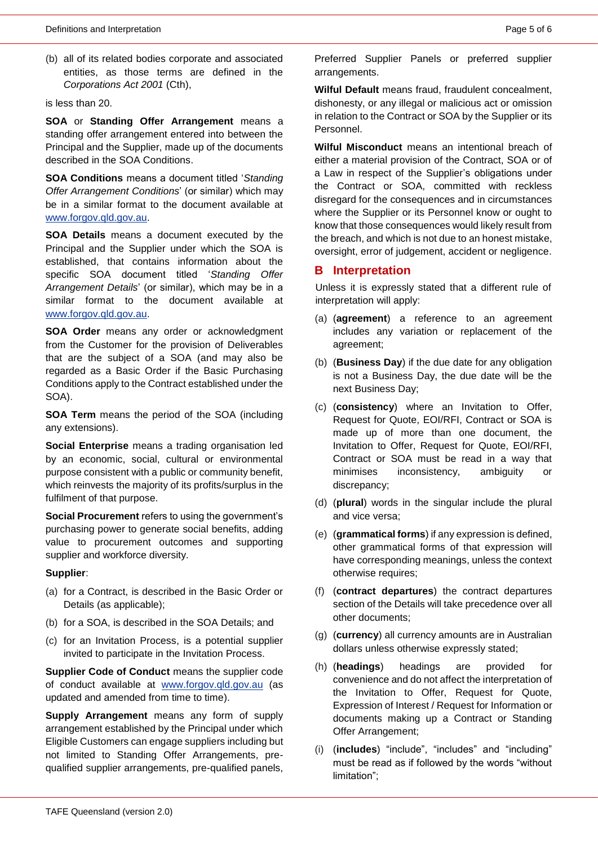(b) all of its related bodies corporate and associated entities, as those terms are defined in the *Corporations Act 2001* (Cth),

is less than 20.

**SOA** or **Standing Offer Arrangement** means a standing offer arrangement entered into between the Principal and the Supplier, made up of the documents described in the SOA Conditions.

**SOA Conditions** means a document titled '*Standing Offer Arrangement Conditions*' (or similar) which may be in a similar format to the document available at [www.forgov.qld.gov.au.](http://www.forgov.qld.gov.au/)

**SOA Details** means a document executed by the Principal and the Supplier under which the SOA is established, that contains information about the specific SOA document titled '*Standing Offer Arrangement Details*' (or similar), which may be in a similar format to the document available at [www.forgov.qld.gov.au.](http://www.forgov.qld.gov.au/)

**SOA Order** means any order or acknowledgment from the Customer for the provision of Deliverables that are the subject of a SOA (and may also be regarded as a Basic Order if the Basic Purchasing Conditions apply to the Contract established under the SOA).

**SOA Term** means the period of the SOA (including any extensions).

**Social Enterprise** means a trading organisation led by an economic, social, cultural or environmental purpose consistent with a public or community benefit, which reinvests the majority of its profits/surplus in the fulfilment of that purpose.

**Social Procurement** refers to using the government's purchasing power to generate social benefits, adding value to procurement outcomes and supporting supplier and workforce diversity.

#### **Supplier**:

- (a) for a Contract, is described in the Basic Order or Details (as applicable);
- (b) for a SOA, is described in the SOA Details; and
- (c) for an Invitation Process, is a potential supplier invited to participate in the Invitation Process.

**Supplier Code of Conduct** means the supplier code of conduct available at [www.forgov.qld.gov.au](http://www.forgov.qld.gov.au/) (as updated and amended from time to time).

**Supply Arrangement** means any form of supply arrangement established by the Principal under which Eligible Customers can engage suppliers including but not limited to Standing Offer Arrangements, prequalified supplier arrangements, pre-qualified panels,

Preferred Supplier Panels or preferred supplier arrangements.

**Wilful Default** means fraud, fraudulent concealment, dishonesty, or any illegal or malicious act or omission in relation to the Contract or SOA by the Supplier or its Personnel.

**Wilful Misconduct** means an intentional breach of either a material provision of the Contract, SOA or of a Law in respect of the Supplier's obligations under the Contract or SOA, committed with reckless disregard for the consequences and in circumstances where the Supplier or its Personnel know or ought to know that those consequences would likely result from the breach, and which is not due to an honest mistake, oversight, error of judgement, accident or negligence.

#### **B Interpretation**

Unless it is expressly stated that a different rule of interpretation will apply:

- (a) (**agreement**) a reference to an agreement includes any variation or replacement of the agreement;
- (b) (**Business Day**) if the due date for any obligation is not a Business Day, the due date will be the next Business Day;
- (c) (**consistency**) where an Invitation to Offer, Request for Quote, EOI/RFI, Contract or SOA is made up of more than one document, the Invitation to Offer, Request for Quote, EOI/RFI, Contract or SOA must be read in a way that minimises inconsistency, ambiguity or discrepancy;
- (d) (**plural**) words in the singular include the plural and vice versa;
- (e) (**grammatical forms**) if any expression is defined, other grammatical forms of that expression will have corresponding meanings, unless the context otherwise requires;
- (f) (**contract departures**) the contract departures section of the Details will take precedence over all other documents;
- (g) (**currency**) all currency amounts are in Australian dollars unless otherwise expressly stated;
- (h) (**headings**) headings are provided for convenience and do not affect the interpretation of the Invitation to Offer, Request for Quote, Expression of Interest / Request for Information or documents making up a Contract or Standing Offer Arrangement;
- (i) (**includes**) "include", "includes" and "including" must be read as if followed by the words "without limitation";